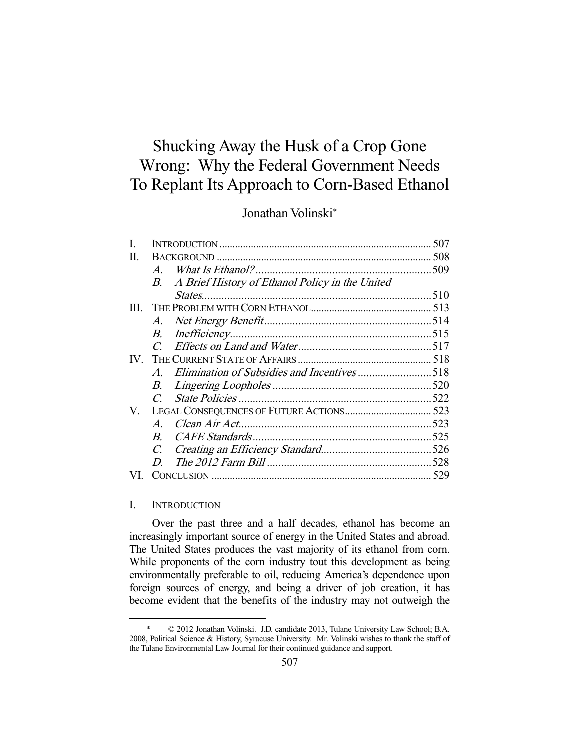# Shucking Away the Husk of a Crop Gone Wrong: Why the Federal Government Needs To Replant Its Approach to Corn-Based Ethanol

## Jonathan Volinski\*

| L.       |                |                                                    | 507 |
|----------|----------------|----------------------------------------------------|-----|
| П.       |                |                                                    |     |
|          | $\overline{A}$ |                                                    |     |
|          |                | B. A Brief History of Ethanol Policy in the United |     |
|          |                |                                                    |     |
| III.     |                |                                                    |     |
|          |                |                                                    |     |
|          |                |                                                    |     |
|          |                |                                                    |     |
| $IV_{-}$ |                |                                                    |     |
|          |                | A. Elimination of Subsidies and Incentives518      |     |
|          | В.             |                                                    |     |
|          | $C_{\cdot}$    |                                                    |     |
| V.       |                |                                                    |     |
|          | $\bm{A}$       |                                                    |     |
|          | $B_{-}$        |                                                    |     |
|          |                |                                                    |     |
|          | D              |                                                    |     |
| VL.      |                |                                                    |     |

## I. INTRODUCTION

-

 Over the past three and a half decades, ethanol has become an increasingly important source of energy in the United States and abroad. The United States produces the vast majority of its ethanol from corn. While proponents of the corn industry tout this development as being environmentally preferable to oil, reducing America's dependence upon foreign sources of energy, and being a driver of job creation, it has become evident that the benefits of the industry may not outweigh the

 <sup>\* © 2012</sup> Jonathan Volinski. J.D. candidate 2013, Tulane University Law School; B.A. 2008, Political Science & History, Syracuse University. Mr. Volinski wishes to thank the staff of the Tulane Environmental Law Journal for their continued guidance and support.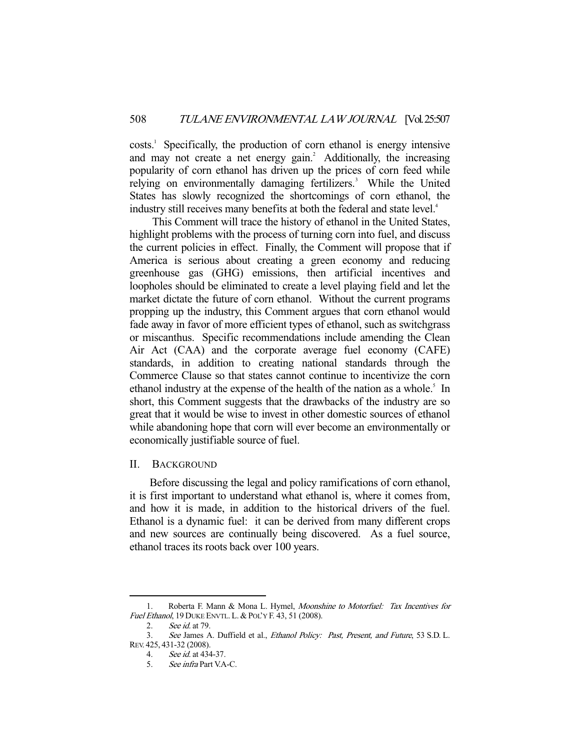costs.<sup>1</sup> Specifically, the production of corn ethanol is energy intensive and may not create a net energy gain.<sup>2</sup> Additionally, the increasing popularity of corn ethanol has driven up the prices of corn feed while relying on environmentally damaging fertilizers.<sup>3</sup> While the United States has slowly recognized the shortcomings of corn ethanol, the industry still receives many benefits at both the federal and state level.<sup>4</sup>

 This Comment will trace the history of ethanol in the United States, highlight problems with the process of turning corn into fuel, and discuss the current policies in effect. Finally, the Comment will propose that if America is serious about creating a green economy and reducing greenhouse gas (GHG) emissions, then artificial incentives and loopholes should be eliminated to create a level playing field and let the market dictate the future of corn ethanol. Without the current programs propping up the industry, this Comment argues that corn ethanol would fade away in favor of more efficient types of ethanol, such as switchgrass or miscanthus. Specific recommendations include amending the Clean Air Act (CAA) and the corporate average fuel economy (CAFE) standards, in addition to creating national standards through the Commerce Clause so that states cannot continue to incentivize the corn ethanol industry at the expense of the health of the nation as a whole.<sup>5</sup> In short, this Comment suggests that the drawbacks of the industry are so great that it would be wise to invest in other domestic sources of ethanol while abandoning hope that corn will ever become an environmentally or economically justifiable source of fuel.

## II. BACKGROUND

 Before discussing the legal and policy ramifications of corn ethanol, it is first important to understand what ethanol is, where it comes from, and how it is made, in addition to the historical drivers of the fuel. Ethanol is a dynamic fuel: it can be derived from many different crops and new sources are continually being discovered. As a fuel source, ethanol traces its roots back over 100 years.

<sup>1.</sup> Roberta F. Mann & Mona L. Hymel, Moonshine to Motorfuel: Tax Incentives for Fuel Ethanol, 19 DUKE ENVTL. L. & POL'Y F. 43, 51 (2008).

 <sup>2.</sup> See id. at 79.

 <sup>3.</sup> See James A. Duffield et al., Ethanol Policy: Past, Present, and Future, 53 S.D. L. REV. 425, 431-32 (2008).

 <sup>4.</sup> See id. at 434-37.

 <sup>5.</sup> See infra Part V.A-C.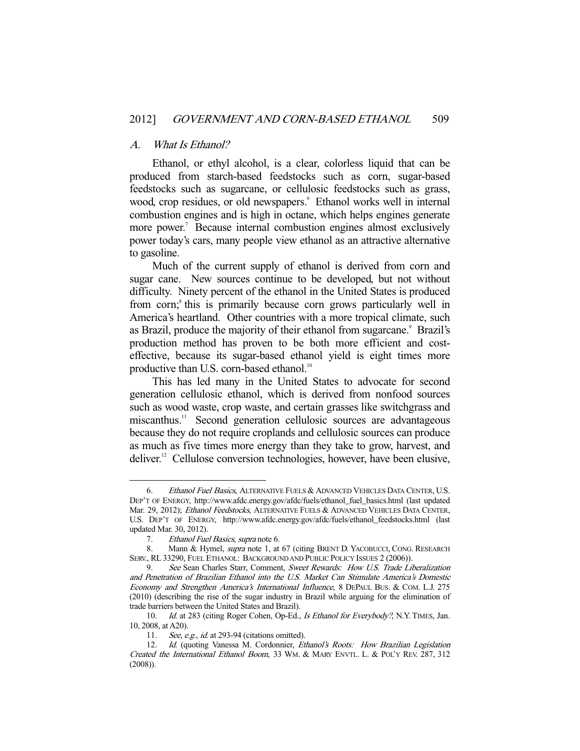#### A. What Is Ethanol?

 Ethanol, or ethyl alcohol, is a clear, colorless liquid that can be produced from starch-based feedstocks such as corn, sugar-based feedstocks such as sugarcane, or cellulosic feedstocks such as grass, wood, crop residues, or old newspapers.<sup>6</sup> Ethanol works well in internal combustion engines and is high in octane, which helps engines generate more power.<sup>7</sup> Because internal combustion engines almost exclusively power today's cars, many people view ethanol as an attractive alternative to gasoline.

 Much of the current supply of ethanol is derived from corn and sugar cane. New sources continue to be developed, but not without difficulty. Ninety percent of the ethanol in the United States is produced from corn;<sup>8</sup> this is primarily because corn grows particularly well in America's heartland. Other countries with a more tropical climate, such as Brazil, produce the majority of their ethanol from sugarcane.<sup>9</sup> Brazil's production method has proven to be both more efficient and costeffective, because its sugar-based ethanol yield is eight times more productive than U.S. corn-based ethanol.<sup>10</sup>

 This has led many in the United States to advocate for second generation cellulosic ethanol, which is derived from nonfood sources such as wood waste, crop waste, and certain grasses like switchgrass and miscanthus.<sup>11</sup> Second generation cellulosic sources are advantageous because they do not require croplands and cellulosic sources can produce as much as five times more energy than they take to grow, harvest, and deliver.<sup>12</sup> Cellulose conversion technologies, however, have been elusive,

<sup>6.</sup> Ethanol Fuel Basics, ALTERNATIVE FUELS & ADVANCED VEHICLES DATA CENTER, U.S. DEP'T OF ENERGY, http://www.afdc.energy.gov/afdc/fuels/ethanol\_fuel\_basics.html (last updated Mar. 29, 2012); Ethanol Feedstocks, ALTERNATIVE FUELS & ADVANCED VEHICLES DATA CENTER, U.S. DEP'T OF ENERGY, http://www.afdc.energy.gov/afdc/fuels/ethanol\_feedstocks.html (last updated Mar. 30, 2012).

<sup>7.</sup> Ethanol Fuel Basics, supra note 6.

<sup>8.</sup> Mann & Hymel, supra note 1, at 67 (citing BRENT D. YACOBUCCI, CONG. RESEARCH SERV., RL 33290, FUEL ETHANOL: BACKGROUND AND PUBLIC POLICY ISSUES 2 (2006)).

<sup>9.</sup> See Sean Charles Starr, Comment, Sweet Rewards: How U.S. Trade Liberalization and Penetration of Brazilian Ethanol into the U.S. Market Can Stimulate America's Domestic Economy and Strengthen America's International Influence, 8 DEPAUL BUS. & COM. L.J. 275 (2010) (describing the rise of the sugar industry in Brazil while arguing for the elimination of trade barriers between the United States and Brazil).

<sup>10.</sup> Id. at 283 (citing Roger Cohen, Op-Ed., Is Ethanol for Everybody?, N.Y. TIMES, Jan. 10, 2008, at A20).

<sup>11.</sup> See, e.g., id. at 293-94 (citations omitted).

 <sup>12.</sup> Id. (quoting Vanessa M. Cordonnier, Ethanol's Roots: How Brazilian Legislation Created the International Ethanol Boom, 33 WM. & MARY ENVTL. L. & POL'Y REV. 287, 312 (2008)).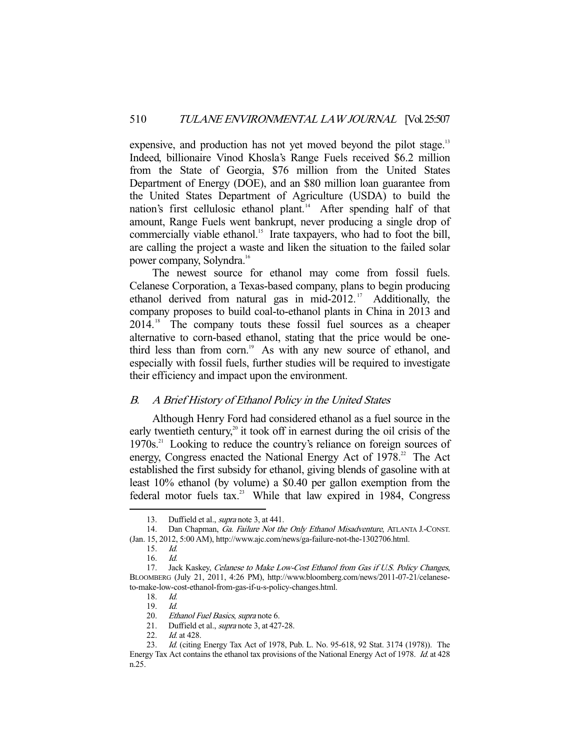expensive, and production has not yet moved beyond the pilot stage.<sup>13</sup> Indeed, billionaire Vinod Khosla's Range Fuels received \$6.2 million from the State of Georgia, \$76 million from the United States Department of Energy (DOE), and an \$80 million loan guarantee from the United States Department of Agriculture (USDA) to build the nation's first cellulosic ethanol plant.<sup>14</sup> After spending half of that amount, Range Fuels went bankrupt, never producing a single drop of commercially viable ethanol.<sup>15</sup> Irate taxpayers, who had to foot the bill, are calling the project a waste and liken the situation to the failed solar power company, Solyndra.16

 The newest source for ethanol may come from fossil fuels. Celanese Corporation, a Texas-based company, plans to begin producing ethanol derived from natural gas in mid-2012.<sup>17</sup> Additionally, the company proposes to build coal-to-ethanol plants in China in 2013 and 2014.18 The company touts these fossil fuel sources as a cheaper alternative to corn-based ethanol, stating that the price would be onethird less than from corn.<sup>19</sup> As with any new source of ethanol, and especially with fossil fuels, further studies will be required to investigate their efficiency and impact upon the environment.

#### B. A Brief History of Ethanol Policy in the United States

 Although Henry Ford had considered ethanol as a fuel source in the early twentieth century, $20$  it took off in earnest during the oil crisis of the  $1970s$ <sup>21</sup> Looking to reduce the country's reliance on foreign sources of energy, Congress enacted the National Energy Act of  $1978<sup>22</sup>$ . The Act established the first subsidy for ethanol, giving blends of gasoline with at least 10% ethanol (by volume) a \$0.40 per gallon exemption from the federal motor fuels tax.<sup>23</sup> While that law expired in 1984, Congress

<sup>13.</sup> Duffield et al., *supra* note 3, at 441.

<sup>14.</sup> Dan Chapman, Ga. Failure Not the Only Ethanol Misadventure, ATLANTA J.-CONST. (Jan. 15, 2012, 5:00 AM), http://www.ajc.com/news/ga-failure-not-the-1302706.html.

 <sup>15.</sup> Id.

 <sup>16.</sup> Id.

<sup>17.</sup> Jack Kaskey, Celanese to Make Low-Cost Ethanol from Gas if U.S. Policy Changes, BLOOMBERG (July 21, 2011, 4:26 PM), http://www.bloomberg.com/news/2011-07-21/celaneseto-make-low-cost-ethanol-from-gas-if-u-s-policy-changes.html.

 <sup>18.</sup> Id.

 <sup>19.</sup> Id.

<sup>20.</sup> Ethanol Fuel Basics, supra note 6.

<sup>21.</sup> Duffield et al., *supra* note 3, at 427-28.

<sup>22.</sup> *Id.* at 428.<br>23. *Id.* (citing

Id. (citing Energy Tax Act of 1978, Pub. L. No. 95-618, 92 Stat. 3174 (1978)). The Energy Tax Act contains the ethanol tax provisions of the National Energy Act of 1978. Id. at 428 n.25.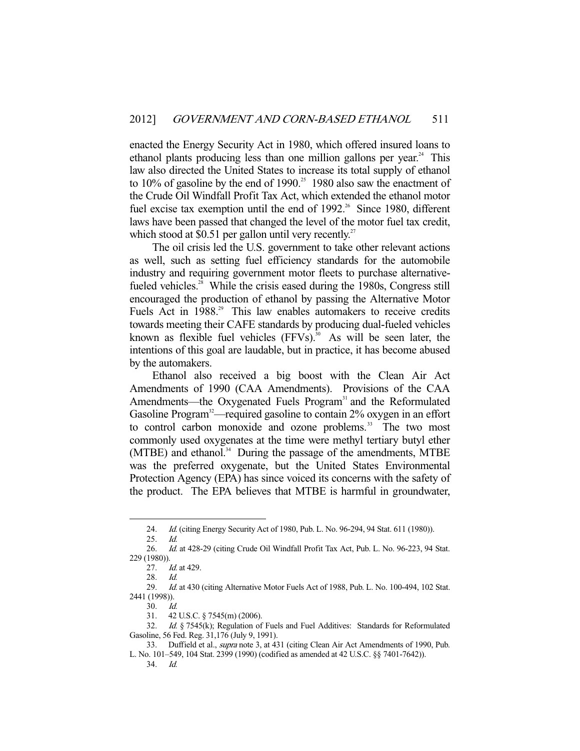enacted the Energy Security Act in 1980, which offered insured loans to ethanol plants producing less than one million gallons per year.<sup>24</sup> This law also directed the United States to increase its total supply of ethanol to  $10\%$  of gasoline by the end of  $1990.<sup>25</sup>$  1980 also saw the enactment of the Crude Oil Windfall Profit Tax Act, which extended the ethanol motor fuel excise tax exemption until the end of  $1992$ .<sup>26</sup> Since 1980, different laws have been passed that changed the level of the motor fuel tax credit, which stood at \$0.51 per gallon until very recently.<sup>27</sup>

 The oil crisis led the U.S. government to take other relevant actions as well, such as setting fuel efficiency standards for the automobile industry and requiring government motor fleets to purchase alternativefueled vehicles.<sup>28</sup> While the crisis eased during the 1980s, Congress still encouraged the production of ethanol by passing the Alternative Motor Fuels Act in 1988.<sup>29</sup> This law enables automakers to receive credits towards meeting their CAFE standards by producing dual-fueled vehicles known as flexible fuel vehicles  $(FFVs)$ .<sup>30</sup> As will be seen later, the intentions of this goal are laudable, but in practice, it has become abused by the automakers.

 Ethanol also received a big boost with the Clean Air Act Amendments of 1990 (CAA Amendments). Provisions of the CAA Amendments—the Oxygenated Fuels Program<sup>31</sup> and the Reformulated Gasoline Program<sup>32</sup>—required gasoline to contain  $2\%$  oxygen in an effort to control carbon monoxide and ozone problems.<sup>33</sup> The two most commonly used oxygenates at the time were methyl tertiary butyl ether (MTBE) and ethanol.<sup>34</sup> During the passage of the amendments, MTBE was the preferred oxygenate, but the United States Environmental Protection Agency (EPA) has since voiced its concerns with the safety of the product. The EPA believes that MTBE is harmful in groundwater,

 <sup>24.</sup> Id. (citing Energy Security Act of 1980, Pub. L. No. 96-294, 94 Stat. 611 (1980)).

 <sup>25.</sup> Id.

 <sup>26.</sup> Id. at 428-29 (citing Crude Oil Windfall Profit Tax Act, Pub. L. No. 96-223, 94 Stat. 229 (1980)).

<sup>27.</sup> *Id.* at 429.

 <sup>28.</sup> Id.

<sup>29.</sup> Id. at 430 (citing Alternative Motor Fuels Act of 1988, Pub. L. No. 100-494, 102 Stat. 2441 (1998)).

 <sup>30.</sup> Id.

 <sup>31. 42</sup> U.S.C. § 7545(m) (2006).

<sup>32.</sup> Id. § 7545(k); Regulation of Fuels and Fuel Additives: Standards for Reformulated Gasoline, 56 Fed. Reg. 31,176 (July 9, 1991).

<sup>33.</sup> Duffield et al., *supra* note 3, at 431 (citing Clean Air Act Amendments of 1990, Pub. L. No. 101–549, 104 Stat. 2399 (1990) (codified as amended at 42 U.S.C. §§ 7401-7642)).

 <sup>34.</sup> Id.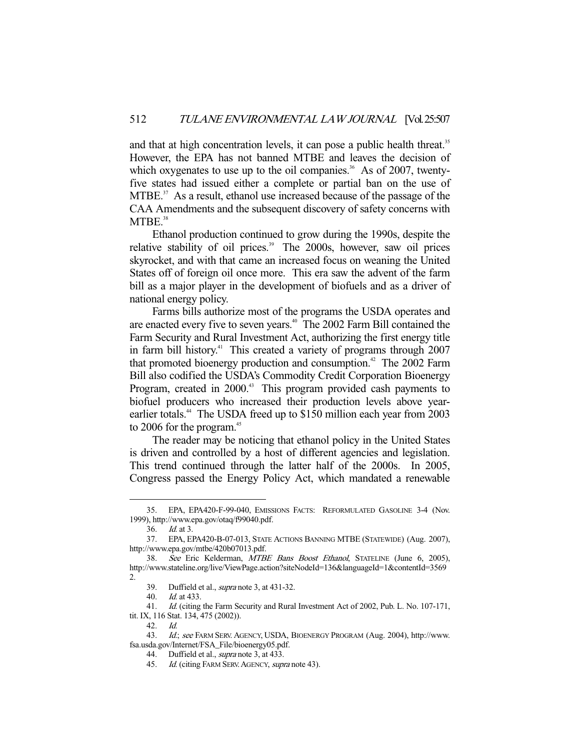and that at high concentration levels, it can pose a public health threat.<sup>35</sup> However, the EPA has not banned MTBE and leaves the decision of which oxygenates to use up to the oil companies.<sup>36</sup> As of 2007, twentyfive states had issued either a complete or partial ban on the use of  $MTBE$ <sup>37</sup> As a result, ethanol use increased because of the passage of the CAA Amendments and the subsequent discovery of safety concerns with  $MTBE.<sup>38</sup>$ 

 Ethanol production continued to grow during the 1990s, despite the relative stability of oil prices.<sup>39</sup> The 2000s, however, saw oil prices skyrocket, and with that came an increased focus on weaning the United States off of foreign oil once more. This era saw the advent of the farm bill as a major player in the development of biofuels and as a driver of national energy policy.

 Farms bills authorize most of the programs the USDA operates and are enacted every five to seven years.<sup>40</sup> The 2002 Farm Bill contained the Farm Security and Rural Investment Act, authorizing the first energy title in farm bill history.<sup>41</sup> This created a variety of programs through  $2007$ that promoted bioenergy production and consumption.<sup>42</sup> The 2002 Farm Bill also codified the USDA's Commodity Credit Corporation Bioenergy Program, created in 2000.<sup>43</sup> This program provided cash payments to biofuel producers who increased their production levels above yearearlier totals.<sup>44</sup> The USDA freed up to \$150 million each year from 2003 to 2006 for the program.<sup>45</sup>

 The reader may be noticing that ethanol policy in the United States is driven and controlled by a host of different agencies and legislation. This trend continued through the latter half of the 2000s. In 2005, Congress passed the Energy Policy Act, which mandated a renewable

 <sup>35.</sup> EPA, EPA420-F-99-040, EMISSIONS FACTS: REFORMULATED GASOLINE 3-4 (Nov. 1999), http://www.epa.gov/otaq/f99040.pdf.

 <sup>36.</sup> Id. at 3.

 <sup>37.</sup> EPA, EPA420-B-07-013, STATE ACTIONS BANNING MTBE (STATEWIDE) (Aug. 2007), http://www.epa.gov/mtbe/420b07013.pdf.

 <sup>38.</sup> See Eric Kelderman, MTBE Bans Boost Ethanol, STATELINE (June 6, 2005), http://www.stateline.org/live/ViewPage.action?siteNodeId=136&languageId=1&contentId=3569 2.

 <sup>39.</sup> Duffield et al., supra note 3, at 431-32.

 <sup>40.</sup> Id. at 433.

 <sup>41.</sup> Id. (citing the Farm Security and Rural Investment Act of 2002, Pub. L. No. 107-171, tit. IX, 116 Stat. 134, 475 (2002)).

 <sup>42.</sup> Id.

<sup>43.</sup> Id.; see FARM SERV. AGENCY, USDA, BIOENERGY PROGRAM (Aug. 2004), http://www. fsa.usda.gov/Internet/FSA\_File/bioenergy05.pdf.

<sup>44.</sup> Duffield et al., *supra* note 3, at 433.

<sup>45.</sup> Id. (citing FARM SERV. AGENCY, supra note 43).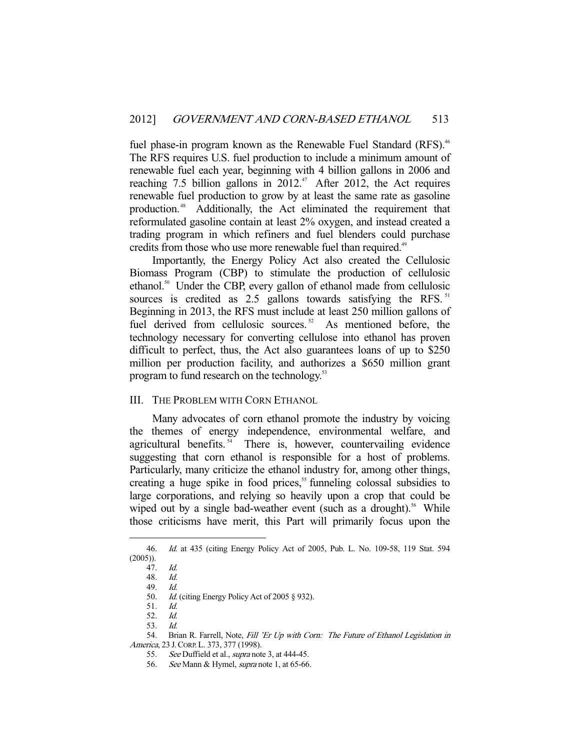fuel phase-in program known as the Renewable Fuel Standard (RFS).<sup>46</sup> The RFS requires U.S. fuel production to include a minimum amount of renewable fuel each year, beginning with 4 billion gallons in 2006 and reaching 7.5 billion gallons in  $2012<sup>47</sup>$  After 2012, the Act requires renewable fuel production to grow by at least the same rate as gasoline production. 48 Additionally, the Act eliminated the requirement that reformulated gasoline contain at least 2% oxygen, and instead created a trading program in which refiners and fuel blenders could purchase credits from those who use more renewable fuel than required.<sup>49</sup>

 Importantly, the Energy Policy Act also created the Cellulosic Biomass Program (CBP) to stimulate the production of cellulosic ethanol.50 Under the CBP, every gallon of ethanol made from cellulosic sources is credited as 2.5 gallons towards satisfying the RFS.<sup>51</sup> Beginning in 2013, the RFS must include at least 250 million gallons of fuel derived from cellulosic sources.<sup>52</sup> As mentioned before, the technology necessary for converting cellulose into ethanol has proven difficult to perfect, thus, the Act also guarantees loans of up to \$250 million per production facility, and authorizes a \$650 million grant program to fund research on the technology.<sup>53</sup>

#### III. THE PROBLEM WITH CORN ETHANOL

 Many advocates of corn ethanol promote the industry by voicing the themes of energy independence, environmental welfare, and agricultural benefits.<sup>54</sup> There is, however, countervailing evidence suggesting that corn ethanol is responsible for a host of problems. Particularly, many criticize the ethanol industry for, among other things, creating a huge spike in food prices,<sup>55</sup> funneling colossal subsidies to large corporations, and relying so heavily upon a crop that could be wiped out by a single bad-weather event (such as a drought).<sup>56</sup> While those criticisms have merit, this Part will primarily focus upon the

 <sup>46.</sup> Id. at 435 (citing Energy Policy Act of 2005, Pub. L. No. 109-58, 119 Stat. 594  $(2005)$ ).

 <sup>47.</sup> Id.

<sup>48.</sup> *Id.*<br>49. *Id.* 

<sup>49.</sup> 

<sup>50.</sup> Id. (citing Energy Policy Act of 2005 § 932).

 <sup>51.</sup> Id.

 <sup>52.</sup> Id.

 <sup>53.</sup> Id.

<sup>54.</sup> Brian R. Farrell, Note, Fill 'Er Up with Corn: The Future of Ethanol Legislation in America, 23 J.CORP. L. 373, 377 (1998).

<sup>55.</sup> See Duffield et al., *supra* note 3, at 444-45.

 <sup>56.</sup> See Mann & Hymel, supra note 1, at 65-66.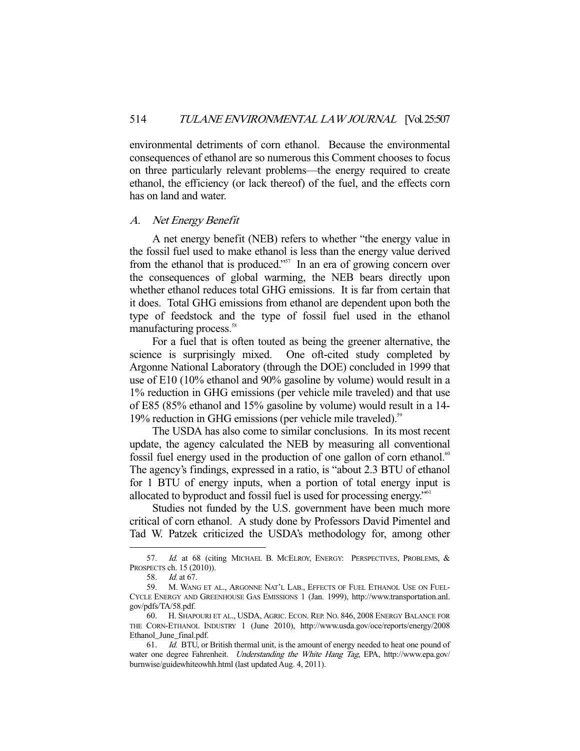environmental detriments of corn ethanol. Because the environmental consequences of ethanol are so numerous this Comment chooses to focus on three particularly relevant problems—the energy required to create ethanol, the efficiency (or lack thereof) of the fuel, and the effects corn has on land and water.

#### A. Net Energy Benefit

 A net energy benefit (NEB) refers to whether "the energy value in the fossil fuel used to make ethanol is less than the energy value derived from the ethanol that is produced."<sup>57</sup> In an era of growing concern over the consequences of global warming, the NEB bears directly upon whether ethanol reduces total GHG emissions. It is far from certain that it does. Total GHG emissions from ethanol are dependent upon both the type of feedstock and the type of fossil fuel used in the ethanol manufacturing process.<sup>58</sup>

 For a fuel that is often touted as being the greener alternative, the science is surprisingly mixed. One oft-cited study completed by Argonne National Laboratory (through the DOE) concluded in 1999 that use of E10 (10% ethanol and 90% gasoline by volume) would result in a 1% reduction in GHG emissions (per vehicle mile traveled) and that use of E85 (85% ethanol and 15% gasoline by volume) would result in a 14- 19% reduction in GHG emissions (per vehicle mile traveled).<sup>59</sup>

 The USDA has also come to similar conclusions. In its most recent update, the agency calculated the NEB by measuring all conventional fossil fuel energy used in the production of one gallon of corn ethanol.<sup>60</sup> The agency's findings, expressed in a ratio, is "about 2.3 BTU of ethanol for 1 BTU of energy inputs, when a portion of total energy input is allocated to byproduct and fossil fuel is used for processing energy."61

 Studies not funded by the U.S. government have been much more critical of corn ethanol. A study done by Professors David Pimentel and Tad W. Patzek criticized the USDA's methodology for, among other

<sup>57.</sup> Id. at 68 (citing MICHAEL B. MCELROY, ENERGY: PERSPECTIVES, PROBLEMS, & PROSPECTS ch. 15 (2010)).

 <sup>58.</sup> Id. at 67.

 <sup>59.</sup> M. WANG ET AL., ARGONNE NAT'L LAB., EFFECTS OF FUEL ETHANOL USE ON FUEL-CYCLE ENERGY AND GREENHOUSE GAS EMISSIONS 1 (Jan. 1999), http://www.transportation.anl. gov/pdfs/TA/58.pdf.

 <sup>60.</sup> H. SHAPOURI ET AL., USDA, AGRIC. ECON. REP. NO. 846, 2008 ENERGY BALANCE FOR THE CORN-ETHANOL INDUSTRY 1 (June 2010), http://www.usda.gov/oce/reports/energy/2008 Ethanol\_June\_final.pdf.

<sup>61.</sup> *Id.* BTU, or British thermal unit, is the amount of energy needed to heat one pound of water one degree Fahrenheit. *Understanding the White Hang Tag*, EPA, http://www.epa.gov/ burnwise/guidewhiteowhh.html (last updated Aug. 4, 2011).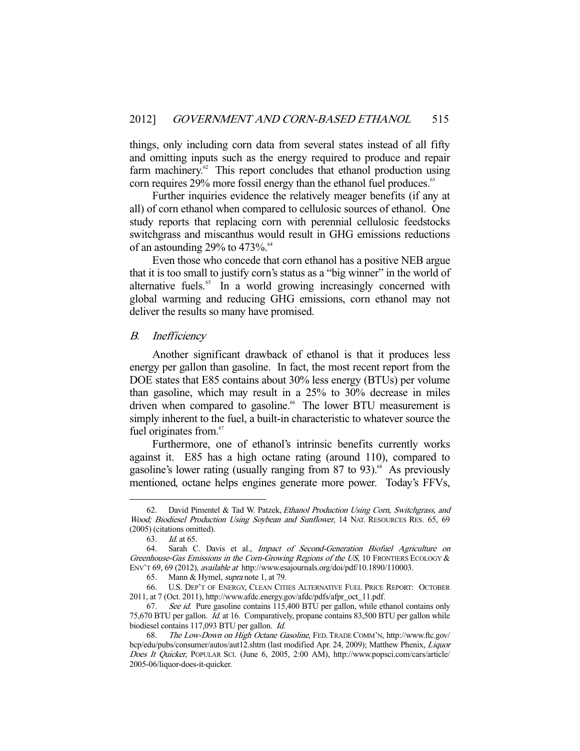things, only including corn data from several states instead of all fifty and omitting inputs such as the energy required to produce and repair farm machinery. $62$  This report concludes that ethanol production using corn requires 29% more fossil energy than the ethanol fuel produces.<sup>63</sup>

 Further inquiries evidence the relatively meager benefits (if any at all) of corn ethanol when compared to cellulosic sources of ethanol. One study reports that replacing corn with perennial cellulosic feedstocks switchgrass and miscanthus would result in GHG emissions reductions of an astounding 29% to 473%. $^{64}$ 

 Even those who concede that corn ethanol has a positive NEB argue that it is too small to justify corn's status as a "big winner" in the world of alternative fuels.<sup>65</sup> In a world growing increasingly concerned with global warming and reducing GHG emissions, corn ethanol may not deliver the results so many have promised.

#### B. Inefficiency

 Another significant drawback of ethanol is that it produces less energy per gallon than gasoline. In fact, the most recent report from the DOE states that E85 contains about 30% less energy (BTUs) per volume than gasoline, which may result in a 25% to 30% decrease in miles driven when compared to gasoline.<sup>66</sup> The lower BTU measurement is simply inherent to the fuel, a built-in characteristic to whatever source the fuel originates from.<sup>67</sup>

 Furthermore, one of ethanol's intrinsic benefits currently works against it. E85 has a high octane rating (around 110), compared to gasoline's lower rating (usually ranging from  $87$  to  $93)$ .<sup>68</sup> As previously mentioned, octane helps engines generate more power. Today's FFVs,

<sup>62.</sup> David Pimentel & Tad W. Patzek, Ethanol Production Using Corn, Switchgrass, and Wood; Biodiesel Production Using Soybean and Sunflower, 14 NAT. RESOURCES RES. 65, 69 (2005) (citations omitted).

 <sup>63.</sup> Id. at 65.

<sup>64.</sup> Sarah C. Davis et al., *Impact of Second-Generation Biofuel Agriculture on* Greenhouse-Gas Emissions in the Corn-Growing Regions of the US, 10 FRONTIERS ECOLOGY & ENV'T 69, 69 (2012), available at http://www.esajournals.org/doi/pdf/10.1890/110003.

 <sup>65.</sup> Mann & Hymel, supra note 1, at 79.

 <sup>66.</sup> U.S. DEP'T OF ENERGY, CLEAN CITIES ALTERNATIVE FUEL PRICE REPORT: OCTOBER 2011, at 7 (Oct. 2011), http://www.afdc.energy.gov/afdc/pdfs/afpr\_oct\_11.pdf.

<sup>67.</sup> See id. Pure gasoline contains 115,400 BTU per gallon, while ethanol contains only 75,670 BTU per gallon. Id. at 16. Comparatively, propane contains 83,500 BTU per gallon while biodiesel contains 117,093 BTU per gallon. Id.

<sup>68.</sup> The Low-Down on High Octane Gasoline, FED. TRADE COMM'N, http://www.ftc.gov/ bcp/edu/pubs/consumer/autos/aut12.shtm (last modified Apr. 24, 2009); Matthew Phenix, Liquor Does It Quicker, POPULAR SCI. (June 6, 2005, 2:00 AM), http://www.popsci.com/cars/article/ 2005-06/liquor-does-it-quicker.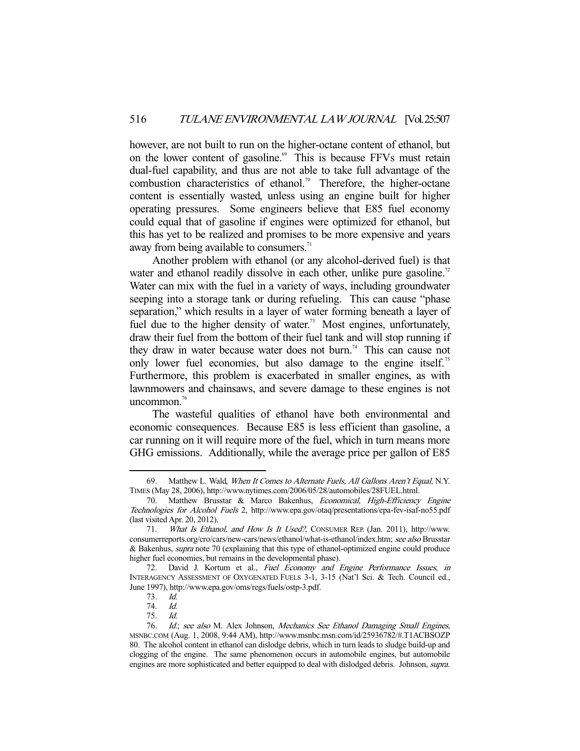however, are not built to run on the higher-octane content of ethanol, but on the lower content of gasoline.<sup>69</sup> This is because FFVs must retain dual-fuel capability, and thus are not able to take full advantage of the combustion characteristics of ethanol.<sup>70</sup> Therefore, the higher-octane content is essentially wasted, unless using an engine built for higher operating pressures. Some engineers believe that E85 fuel economy could equal that of gasoline if engines were optimized for ethanol, but this has yet to be realized and promises to be more expensive and years away from being available to consumers.<sup>71</sup>

 Another problem with ethanol (or any alcohol-derived fuel) is that water and ethanol readily dissolve in each other, unlike pure gasoline.<sup>72</sup> Water can mix with the fuel in a variety of ways, including groundwater seeping into a storage tank or during refueling. This can cause "phase separation," which results in a layer of water forming beneath a layer of fuel due to the higher density of water.<sup>73</sup> Most engines, unfortunately, draw their fuel from the bottom of their fuel tank and will stop running if they draw in water because water does not burn.<sup>74</sup> This can cause not only lower fuel economies, but also damage to the engine itself.<sup>75</sup> Furthermore, this problem is exacerbated in smaller engines, as with lawnmowers and chainsaws, and severe damage to these engines is not uncommon.<sup>76</sup>

 The wasteful qualities of ethanol have both environmental and economic consequences. Because E85 is less efficient than gasoline, a car running on it will require more of the fuel, which in turn means more GHG emissions. Additionally, while the average price per gallon of E85

<sup>69.</sup> Matthew L. Wald, When It Comes to Alternate Fuels, All Gallons Aren't Equal, N.Y. TIMES (May 28, 2006), http://www.nytimes.com/2006/05/28/automobiles/28FUEL.html.

<sup>70.</sup> Matthew Brusstar & Marco Bakenhus, Economical, High-Efficiency Engine Technologies for Alcohol Fuels 2, http://www.epa.gov/otaq/presentations/epa-fev-isaf-no55.pdf (last visited Apr. 20, 2012).

 <sup>71.</sup> What Is Ethanol, and How Is It Used?, CONSUMER REP. (Jan. 2011), http://www. consumerreports.org/cro/cars/new-cars/news/ethanol/what-is-ethanol/index.htm; see also Brusstar & Bakenhus, supra note 70 (explaining that this type of ethanol-optimized engine could produce higher fuel economies, but remains in the developmental phase).

 <sup>72.</sup> David J. Kortum et al., Fuel Economy and Engine Performance Issues, in INTERAGENCY ASSESSMENT OF OXYGENATED FUELS 3-1, 3-15 (Nat'l Sci. & Tech. Council ed., June 1997), http://www.epa.gov/oms/regs/fuels/ostp-3.pdf.

 <sup>73.</sup> Id.

 <sup>74.</sup> Id.

 <sup>75.</sup> Id.

<sup>76.</sup> Id.; see also M. Alex Johnson, Mechanics See Ethanol Damaging Small Engines, MSNBC.COM (Aug. 1, 2008, 9:44 AM), http://www.msnbc.msn.com/id/25936782/#.T1ACBSOZP 80. The alcohol content in ethanol can dislodge debris, which in turn leads to sludge build-up and clogging of the engine. The same phenomenon occurs in automobile engines, but automobile engines are more sophisticated and better equipped to deal with dislodged debris. Johnson, supra.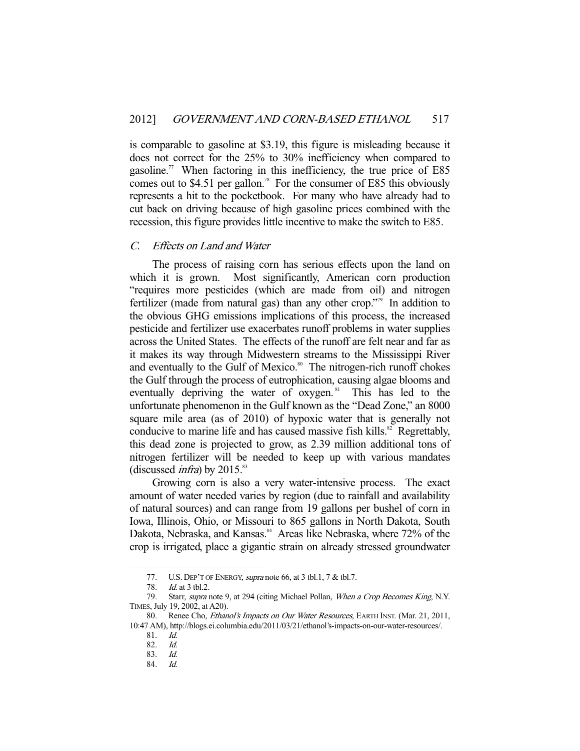is comparable to gasoline at \$3.19, this figure is misleading because it does not correct for the 25% to 30% inefficiency when compared to gasoline.<sup>77</sup> When factoring in this inefficiency, the true price of E85 comes out to \$4.51 per gallon.<sup>78</sup> For the consumer of E85 this obviously represents a hit to the pocketbook. For many who have already had to cut back on driving because of high gasoline prices combined with the recession, this figure provides little incentive to make the switch to E85.

## C. Effects on Land and Water

 The process of raising corn has serious effects upon the land on which it is grown. Most significantly, American corn production "requires more pesticides (which are made from oil) and nitrogen fertilizer (made from natural gas) than any other crop."79 In addition to the obvious GHG emissions implications of this process, the increased pesticide and fertilizer use exacerbates runoff problems in water supplies across the United States. The effects of the runoff are felt near and far as it makes its way through Midwestern streams to the Mississippi River and eventually to the Gulf of Mexico.<sup>80</sup> The nitrogen-rich runoff chokes the Gulf through the process of eutrophication, causing algae blooms and eventually depriving the water of oxygen. $81$  This has led to the unfortunate phenomenon in the Gulf known as the "Dead Zone," an 8000 square mile area (as of 2010) of hypoxic water that is generally not conducive to marine life and has caused massive fish kills. $82$  Regrettably, this dead zone is projected to grow, as 2.39 million additional tons of nitrogen fertilizer will be needed to keep up with various mandates (discussed *infra*) by  $2015$ .<sup>83</sup>

 Growing corn is also a very water-intensive process. The exact amount of water needed varies by region (due to rainfall and availability of natural sources) and can range from 19 gallons per bushel of corn in Iowa, Illinois, Ohio, or Missouri to 865 gallons in North Dakota, South Dakota, Nebraska, and Kansas.<sup>84</sup> Areas like Nebraska, where 72% of the crop is irrigated, place a gigantic strain on already stressed groundwater

<sup>77.</sup> U.S. DEP'T OF ENERGY, *supra* note 66, at 3 tbl.1, 7 & tbl.7.

 <sup>78.</sup> Id. at 3 tbl.2.

<sup>79.</sup> Starr, supra note 9, at 294 (citing Michael Pollan, When a Crop Becomes King, N.Y. TIMES, July 19, 2002, at A20).

<sup>80.</sup> Renee Cho, *Ethanol's Impacts on Our Water Resources*, EARTH INST. (Mar. 21, 2011, 10:47 AM), http://blogs.ei.columbia.edu/2011/03/21/ethanol's-impacts-on-our-water-resources/.

 <sup>81.</sup> Id.

 <sup>82.</sup> Id.

 <sup>83.</sup> Id.

 <sup>84.</sup> Id.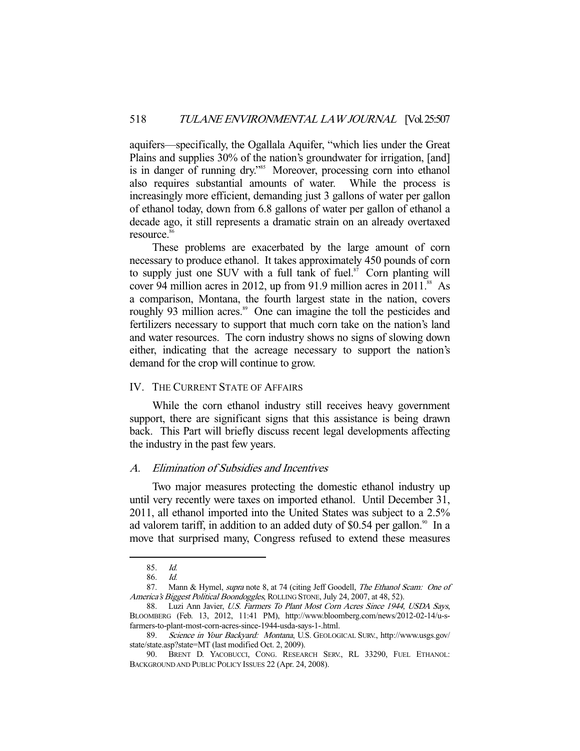aquifers—specifically, the Ogallala Aquifer, "which lies under the Great Plains and supplies 30% of the nation's groundwater for irrigation, [and] is in danger of running dry."<sup>85</sup> Moreover, processing corn into ethanol also requires substantial amounts of water. While the process is increasingly more efficient, demanding just 3 gallons of water per gallon of ethanol today, down from 6.8 gallons of water per gallon of ethanol a decade ago, it still represents a dramatic strain on an already overtaxed resource.<sup>86</sup>

 These problems are exacerbated by the large amount of corn necessary to produce ethanol. It takes approximately 450 pounds of corn to supply just one SUV with a full tank of fuel. $87$  Corn planting will cover 94 million acres in 2012, up from 91.9 million acres in  $2011$ .<sup>88</sup> As a comparison, Montana, the fourth largest state in the nation, covers roughly 93 million acres.<sup>89</sup> One can imagine the toll the pesticides and fertilizers necessary to support that much corn take on the nation's land and water resources. The corn industry shows no signs of slowing down either, indicating that the acreage necessary to support the nation's demand for the crop will continue to grow.

## IV. THE CURRENT STATE OF AFFAIRS

 While the corn ethanol industry still receives heavy government support, there are significant signs that this assistance is being drawn back. This Part will briefly discuss recent legal developments affecting the industry in the past few years.

## A. Elimination of Subsidies and Incentives

 Two major measures protecting the domestic ethanol industry up until very recently were taxes on imported ethanol. Until December 31, 2011, all ethanol imported into the United States was subject to a 2.5% ad valorem tariff, in addition to an added duty of \$0.54 per gallon.<sup>90</sup> In a move that surprised many, Congress refused to extend these measures

 <sup>85.</sup> Id.

 <sup>86.</sup> Id.

<sup>87.</sup> Mann & Hymel, supra note 8, at 74 (citing Jeff Goodell, The Ethanol Scam: One of America's Biggest Political Boondoggles, ROLLING STONE, July 24, 2007, at 48, 52).

 <sup>88.</sup> Luzi Ann Javier, U.S. Farmers To Plant Most Corn Acres Since 1944, USDA Says, BLOOMBERG (Feb. 13, 2012, 11:41 PM), http://www.bloomberg.com/news/2012-02-14/u-sfarmers-to-plant-most-corn-acres-since-1944-usda-says-1-.html.<br>89. Science in Your Backyard: Montana, U.S. GEOLOG

Science in Your Backyard: Montana, U.S. GEOLOGICAL SURV., http://www.usgs.gov/ state/state.asp?state=MT (last modified Oct. 2, 2009).

 <sup>90.</sup> BRENT D. YACOBUCCI, CONG. RESEARCH SERV., RL 33290, FUEL ETHANOL: BACKGROUND AND PUBLIC POLICY ISSUES 22 (Apr. 24, 2008).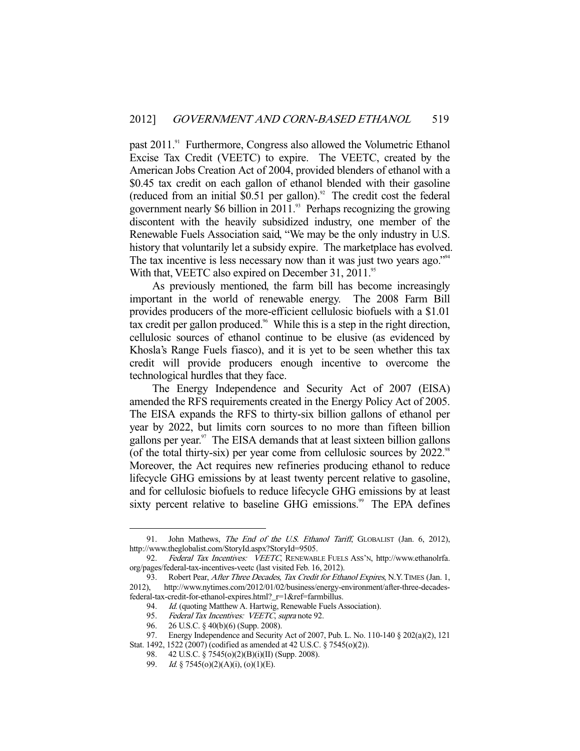past 2011.<sup>91</sup> Furthermore, Congress also allowed the Volumetric Ethanol Excise Tax Credit (VEETC) to expire. The VEETC, created by the American Jobs Creation Act of 2004, provided blenders of ethanol with a \$0.45 tax credit on each gallon of ethanol blended with their gasoline (reduced from an initial \$0.51 per gallon).<sup>92</sup> The credit cost the federal government nearly \$6 billion in 2011.<sup>93</sup> Perhaps recognizing the growing discontent with the heavily subsidized industry, one member of the Renewable Fuels Association said, "We may be the only industry in U.S. history that voluntarily let a subsidy expire. The marketplace has evolved. The tax incentive is less necessary now than it was just two years ago."<sup>94</sup> With that, VEETC also expired on December 31, 2011.<sup>95</sup>

 As previously mentioned, the farm bill has become increasingly important in the world of renewable energy. The 2008 Farm Bill provides producers of the more-efficient cellulosic biofuels with a \$1.01 tax credit per gallon produced.<sup>96</sup> While this is a step in the right direction, cellulosic sources of ethanol continue to be elusive (as evidenced by Khosla's Range Fuels fiasco), and it is yet to be seen whether this tax credit will provide producers enough incentive to overcome the technological hurdles that they face.

 The Energy Independence and Security Act of 2007 (EISA) amended the RFS requirements created in the Energy Policy Act of 2005. The EISA expands the RFS to thirty-six billion gallons of ethanol per year by 2022, but limits corn sources to no more than fifteen billion gallons per year. $97$  The EISA demands that at least sixteen billion gallons (of the total thirty-six) per year come from cellulosic sources by  $2022$ .<sup>98</sup> Moreover, the Act requires new refineries producing ethanol to reduce lifecycle GHG emissions by at least twenty percent relative to gasoline, and for cellulosic biofuels to reduce lifecycle GHG emissions by at least sixty percent relative to baseline GHG emissions.<sup>99</sup> The EPA defines

<sup>91.</sup> John Mathews, The End of the U.S. Ethanol Tariff, GLOBALIST (Jan. 6, 2012), http://www.theglobalist.com/StoryId.aspx?StoryId=9505.

<sup>92.</sup> Federal Tax Incentives: VEETC, RENEWABLE FUELS ASS'N, http://www.ethanolrfa. org/pages/federal-tax-incentives-veetc (last visited Feb. 16, 2012).

<sup>93.</sup> Robert Pear, After Three Decades, Tax Credit for Ethanol Expires, N.Y. TIMES (Jan. 1, 2012), http://www.nytimes.com/2012/01/02/business/energy-environment/after-three-decadesfederal-tax-credit-for-ethanol-expires.html?\_r=1&ref=farmbillus.

<sup>94.</sup> Id. (quoting Matthew A. Hartwig, Renewable Fuels Association).<br>95. Federal Tax Incentives: VEETC, supra note 92.

Federal Tax Incentives: VEETC, supra note 92.<br>26 U.S.C. § 40(b)(6) (Supp. 2008).

 <sup>96. 26</sup> U.S.C. § 40(b)(6) (Supp. 2008).

<sup>97.</sup> Energy Independence and Security Act of 2007, Pub. L. No. 110-140 § 202(a)(2), 121

Stat. 1492, 1522 (2007) (codified as amended at 42 U.S.C. § 7545(o)(2)).

 <sup>98. 42</sup> U.S.C. § 7545(o)(2)(B)(i)(II) (Supp. 2008).

<sup>99.</sup> Id. § 7545(o)(2)(A)(i), (o)(1)(E).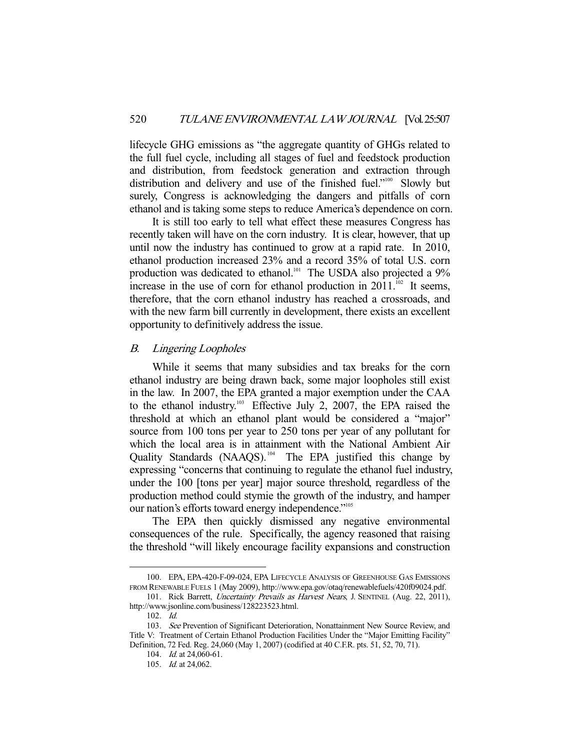lifecycle GHG emissions as "the aggregate quantity of GHGs related to the full fuel cycle, including all stages of fuel and feedstock production and distribution, from feedstock generation and extraction through distribution and delivery and use of the finished fuel."<sup>100</sup> Slowly but surely, Congress is acknowledging the dangers and pitfalls of corn ethanol and is taking some steps to reduce America's dependence on corn.

 It is still too early to tell what effect these measures Congress has recently taken will have on the corn industry. It is clear, however, that up until now the industry has continued to grow at a rapid rate. In 2010, ethanol production increased 23% and a record 35% of total U.S. corn production was dedicated to ethanol.<sup>101</sup> The USDA also projected a 9% increase in the use of corn for ethanol production in  $20\overline{11}$ .<sup>102</sup> It seems, therefore, that the corn ethanol industry has reached a crossroads, and with the new farm bill currently in development, there exists an excellent opportunity to definitively address the issue.

## B. Lingering Loopholes

 While it seems that many subsidies and tax breaks for the corn ethanol industry are being drawn back, some major loopholes still exist in the law. In 2007, the EPA granted a major exemption under the CAA to the ethanol industry.<sup>103</sup> Effective July 2, 2007, the EPA raised the threshold at which an ethanol plant would be considered a "major" source from 100 tons per year to 250 tons per year of any pollutant for which the local area is in attainment with the National Ambient Air Quality Standards (NAAQS). 104 The EPA justified this change by expressing "concerns that continuing to regulate the ethanol fuel industry, under the 100 [tons per year] major source threshold, regardless of the production method could stymie the growth of the industry, and hamper our nation's efforts toward energy independence."<sup>105</sup>

 The EPA then quickly dismissed any negative environmental consequences of the rule. Specifically, the agency reasoned that raising the threshold "will likely encourage facility expansions and construction

 <sup>100.</sup> EPA, EPA-420-F-09-024, EPA LIFECYCLE ANALYSIS OF GREENHOUSE GAS EMISSIONS FROM RENEWABLE FUELS 1 (May 2009), http://www.epa.gov/otaq/renewablefuels/420f09024.pdf.

<sup>101.</sup> Rick Barrett, Uncertainty Prevails as Harvest Nears, J. SENTINEL (Aug. 22, 2011), http://www.jsonline.com/business/128223523.html.

 <sup>102.</sup> Id.

 <sup>103.</sup> See Prevention of Significant Deterioration, Nonattainment New Source Review, and Title V: Treatment of Certain Ethanol Production Facilities Under the "Major Emitting Facility" Definition, 72 Fed. Reg. 24,060 (May 1, 2007) (codified at 40 C.F.R. pts. 51, 52, 70, 71).

<sup>104.</sup> *Id.* at 24,060-61.

 <sup>105.</sup> Id. at 24,062.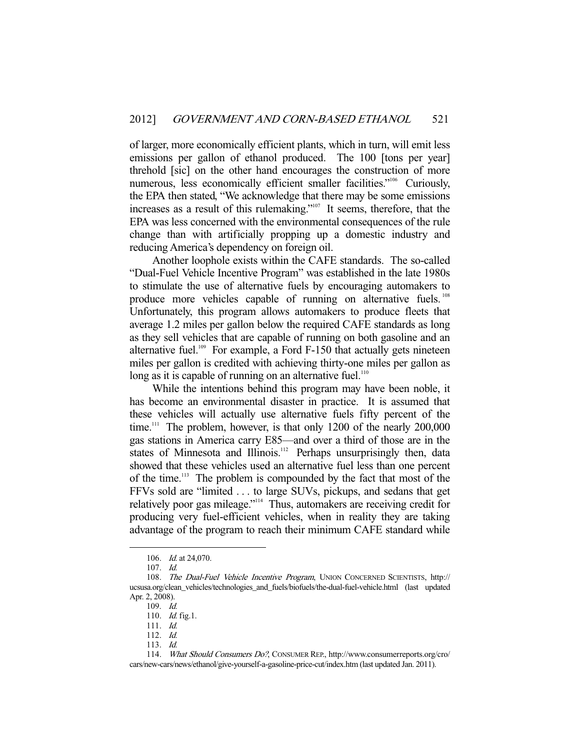of larger, more economically efficient plants, which in turn, will emit less emissions per gallon of ethanol produced. The 100 [tons per year] threhold [sic] on the other hand encourages the construction of more numerous, less economically efficient smaller facilities."<sup>106</sup> Curiously, the EPA then stated, "We acknowledge that there may be some emissions increases as a result of this rulemaking."<sup>107</sup> It seems, therefore, that the EPA was less concerned with the environmental consequences of the rule change than with artificially propping up a domestic industry and reducing America's dependency on foreign oil.

 Another loophole exists within the CAFE standards. The so-called "Dual-Fuel Vehicle Incentive Program" was established in the late 1980s to stimulate the use of alternative fuels by encouraging automakers to produce more vehicles capable of running on alternative fuels.<sup>108</sup> Unfortunately, this program allows automakers to produce fleets that average 1.2 miles per gallon below the required CAFE standards as long as they sell vehicles that are capable of running on both gasoline and an alternative fuel. $109$  For example, a Ford F-150 that actually gets nineteen miles per gallon is credited with achieving thirty-one miles per gallon as long as it is capable of running on an alternative fuel.<sup>110</sup>

 While the intentions behind this program may have been noble, it has become an environmental disaster in practice. It is assumed that these vehicles will actually use alternative fuels fifty percent of the time.<sup>111</sup> The problem, however, is that only 1200 of the nearly 200,000 gas stations in America carry E85—and over a third of those are in the states of Minnesota and Illinois.<sup>112</sup> Perhaps unsurprisingly then, data showed that these vehicles used an alternative fuel less than one percent of the time.<sup>113</sup> The problem is compounded by the fact that most of the FFVs sold are "limited . . . to large SUVs, pickups, and sedans that get relatively poor gas mileage."114 Thus, automakers are receiving credit for producing very fuel-efficient vehicles, when in reality they are taking advantage of the program to reach their minimum CAFE standard while

 <sup>106.</sup> Id. at 24,070.

 <sup>107.</sup> Id.

<sup>108.</sup> The Dual-Fuel Vehicle Incentive Program, UNION CONCERNED SCIENTISTS, http:// ucsusa.org/clean\_vehicles/technologies\_and\_fuels/biofuels/the-dual-fuel-vehicle.html (last updated Apr. 2, 2008).

 <sup>109.</sup> Id.

<sup>110.</sup> *Id.* fig.1.

 <sup>111.</sup> Id.

 <sup>112.</sup> Id.

 <sup>113.</sup> Id.

 <sup>114.</sup> What Should Consumers Do?, CONSUMER REP., http://www.consumerreports.org/cro/ cars/new-cars/news/ethanol/give-yourself-a-gasoline-price-cut/index.htm (last updated Jan. 2011).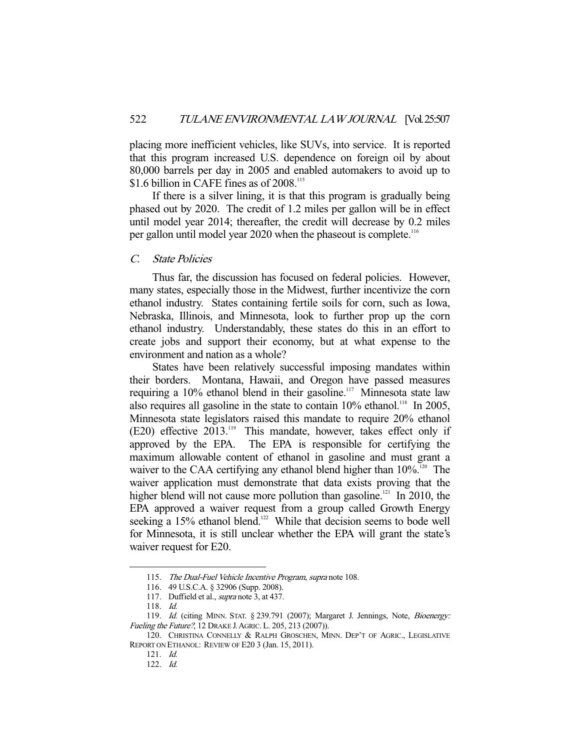placing more inefficient vehicles, like SUVs, into service. It is reported that this program increased U.S. dependence on foreign oil by about 80,000 barrels per day in 2005 and enabled automakers to avoid up to \$1.6 billion in CAFE fines as of 2008.<sup>115</sup>

 If there is a silver lining, it is that this program is gradually being phased out by 2020. The credit of 1.2 miles per gallon will be in effect until model year 2014; thereafter, the credit will decrease by 0.2 miles per gallon until model year 2020 when the phaseout is complete.<sup>116</sup>

## C. State Policies

 Thus far, the discussion has focused on federal policies. However, many states, especially those in the Midwest, further incentivize the corn ethanol industry. States containing fertile soils for corn, such as Iowa, Nebraska, Illinois, and Minnesota, look to further prop up the corn ethanol industry. Understandably, these states do this in an effort to create jobs and support their economy, but at what expense to the environment and nation as a whole?

 States have been relatively successful imposing mandates within their borders. Montana, Hawaii, and Oregon have passed measures requiring a 10% ethanol blend in their gasoline.<sup>117</sup> Minnesota state law also requires all gasoline in the state to contain  $10\%$  ethanol.<sup>118</sup> In 2005, Minnesota state legislators raised this mandate to require 20% ethanol (E20) effective 2013.<sup>119</sup> This mandate, however, takes effect only if approved by the EPA. The EPA is responsible for certifying the maximum allowable content of ethanol in gasoline and must grant a waiver to the CAA certifying any ethanol blend higher than  $10\%$ <sup>120</sup>. The waiver application must demonstrate that data exists proving that the higher blend will not cause more pollution than gasoline.<sup>121</sup> In 2010, the EPA approved a waiver request from a group called Growth Energy seeking a 15% ethanol blend.<sup>122</sup> While that decision seems to bode well for Minnesota, it is still unclear whether the EPA will grant the state's waiver request for E20.

<sup>115.</sup> The Dual-Fuel Vehicle Incentive Program, supra note 108.

 <sup>116. 49</sup> U.S.C.A. § 32906 (Supp. 2008).

<sup>117.</sup> Duffield et al., *supra* note 3, at 437.

 <sup>118.</sup> Id.

<sup>119.</sup> Id. (citing MINN. STAT. § 239.791 (2007); Margaret J. Jennings, Note, Bioenergy: Fueling the Future?, 12 DRAKE J.AGRIC. L. 205, 213 (2007)).

<sup>120.</sup> CHRISTINA CONNELLY & RALPH GROSCHEN, MINN. DEP'T OF AGRIC., LEGISLATIVE REPORT ON ETHANOL: REVIEW OF E20 3 (Jan. 15, 2011).

 <sup>121.</sup> Id.

 <sup>122.</sup> Id.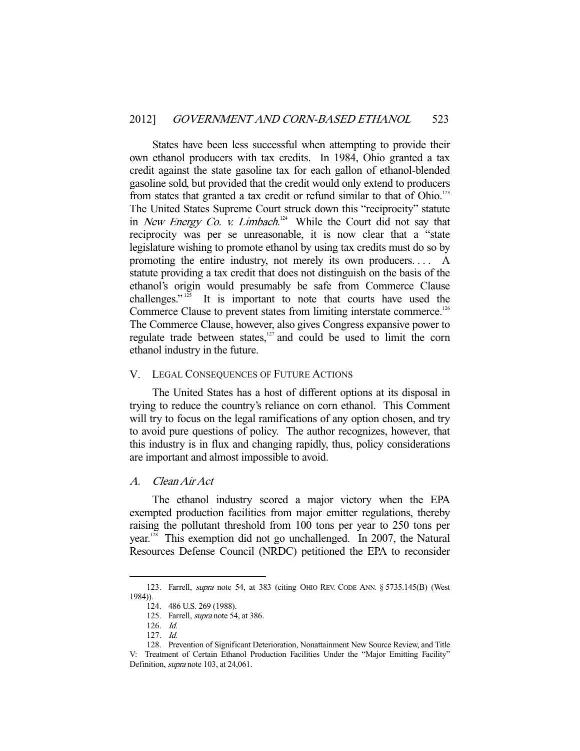States have been less successful when attempting to provide their own ethanol producers with tax credits. In 1984, Ohio granted a tax credit against the state gasoline tax for each gallon of ethanol-blended gasoline sold, but provided that the credit would only extend to producers from states that granted a tax credit or refund similar to that of Ohio.<sup>123</sup> The United States Supreme Court struck down this "reciprocity" statute in *New Energy Co. v. Limbach*.<sup>124</sup> While the Court did not say that reciprocity was per se unreasonable, it is now clear that a "state legislature wishing to promote ethanol by using tax credits must do so by promoting the entire industry, not merely its own producers. . . . A statute providing a tax credit that does not distinguish on the basis of the ethanol's origin would presumably be safe from Commerce Clause challenges."<sup>125</sup> It is important to note that courts have used the Commerce Clause to prevent states from limiting interstate commerce.<sup>126</sup> The Commerce Clause, however, also gives Congress expansive power to regulate trade between states, $127$  and could be used to limit the corn ethanol industry in the future.

#### V. LEGAL CONSEQUENCES OF FUTURE ACTIONS

 The United States has a host of different options at its disposal in trying to reduce the country's reliance on corn ethanol. This Comment will try to focus on the legal ramifications of any option chosen, and try to avoid pure questions of policy. The author recognizes, however, that this industry is in flux and changing rapidly, thus, policy considerations are important and almost impossible to avoid.

## A. Clean Air Act

 The ethanol industry scored a major victory when the EPA exempted production facilities from major emitter regulations, thereby raising the pollutant threshold from 100 tons per year to 250 tons per year.128 This exemption did not go unchallenged. In 2007, the Natural Resources Defense Council (NRDC) petitioned the EPA to reconsider

 <sup>123.</sup> Farrell, supra note 54, at 383 (citing OHIO REV. CODE ANN. § 5735.145(B) (West 1984)).

 <sup>124. 486</sup> U.S. 269 (1988).

<sup>125.</sup> Farrell, *supra* note 54, at 386.

 <sup>126.</sup> Id.

 <sup>127.</sup> Id.

 <sup>128.</sup> Prevention of Significant Deterioration, Nonattainment New Source Review, and Title V: Treatment of Certain Ethanol Production Facilities Under the "Major Emitting Facility" Definition, supra note 103, at 24,061.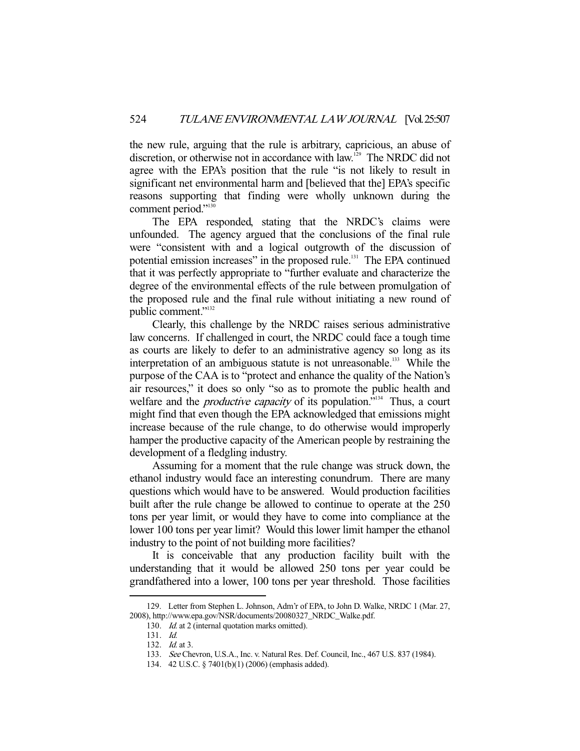the new rule, arguing that the rule is arbitrary, capricious, an abuse of discretion, or otherwise not in accordance with law.<sup>129</sup> The NRDC did not agree with the EPA's position that the rule "is not likely to result in significant net environmental harm and [believed that the] EPA's specific reasons supporting that finding were wholly unknown during the comment period."<sup>130</sup>

 The EPA responded, stating that the NRDC's claims were unfounded. The agency argued that the conclusions of the final rule were "consistent with and a logical outgrowth of the discussion of potential emission increases" in the proposed rule.<sup>131</sup> The EPA continued that it was perfectly appropriate to "further evaluate and characterize the degree of the environmental effects of the rule between promulgation of the proposed rule and the final rule without initiating a new round of public comment."<sup>132</sup>

 Clearly, this challenge by the NRDC raises serious administrative law concerns. If challenged in court, the NRDC could face a tough time as courts are likely to defer to an administrative agency so long as its interpretation of an ambiguous statute is not unreasonable.<sup>133</sup> While the purpose of the CAA is to "protect and enhance the quality of the Nation's air resources," it does so only "so as to promote the public health and welfare and the *productive capacity* of its population."<sup>134</sup> Thus, a court might find that even though the EPA acknowledged that emissions might increase because of the rule change, to do otherwise would improperly hamper the productive capacity of the American people by restraining the development of a fledgling industry.

 Assuming for a moment that the rule change was struck down, the ethanol industry would face an interesting conundrum. There are many questions which would have to be answered. Would production facilities built after the rule change be allowed to continue to operate at the 250 tons per year limit, or would they have to come into compliance at the lower 100 tons per year limit? Would this lower limit hamper the ethanol industry to the point of not building more facilities?

 It is conceivable that any production facility built with the understanding that it would be allowed 250 tons per year could be grandfathered into a lower, 100 tons per year threshold. Those facilities

 <sup>129.</sup> Letter from Stephen L. Johnson, Adm'r of EPA, to John D. Walke, NRDC 1 (Mar. 27, 2008), http://www.epa.gov/NSR/documents/20080327\_NRDC\_Walke.pdf.

<sup>130.</sup> Id. at 2 (internal quotation marks omitted).

 <sup>131.</sup> Id.

 <sup>132.</sup> Id. at 3.

 <sup>133.</sup> See Chevron, U.S.A., Inc. v. Natural Res. Def. Council, Inc., 467 U.S. 837 (1984).

 <sup>134. 42</sup> U.S.C. § 7401(b)(1) (2006) (emphasis added).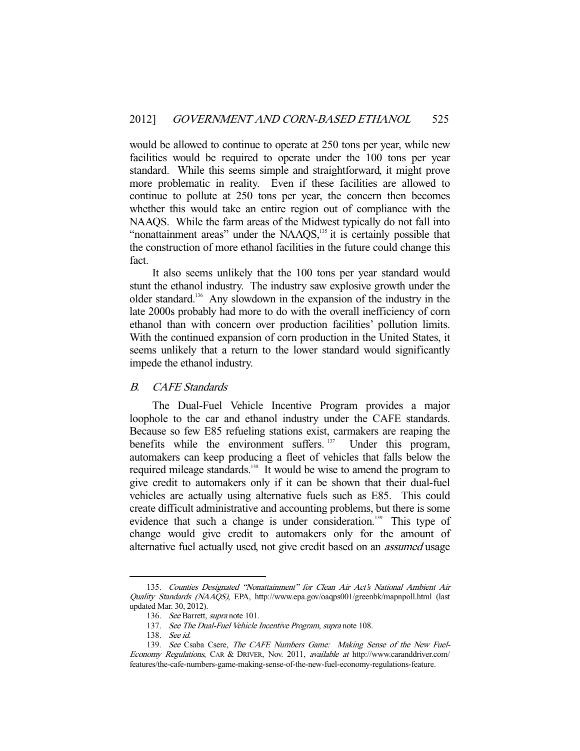would be allowed to continue to operate at 250 tons per year, while new facilities would be required to operate under the 100 tons per year standard. While this seems simple and straightforward, it might prove more problematic in reality. Even if these facilities are allowed to continue to pollute at 250 tons per year, the concern then becomes whether this would take an entire region out of compliance with the NAAQS. While the farm areas of the Midwest typically do not fall into "nonattainment areas" under the NAAQS,<sup>135</sup> it is certainly possible that the construction of more ethanol facilities in the future could change this fact.

 It also seems unlikely that the 100 tons per year standard would stunt the ethanol industry. The industry saw explosive growth under the older standard.136 Any slowdown in the expansion of the industry in the late 2000s probably had more to do with the overall inefficiency of corn ethanol than with concern over production facilities' pollution limits. With the continued expansion of corn production in the United States, it seems unlikely that a return to the lower standard would significantly impede the ethanol industry.

## B. CAFE Standards

 The Dual-Fuel Vehicle Incentive Program provides a major loophole to the car and ethanol industry under the CAFE standards. Because so few E85 refueling stations exist, carmakers are reaping the benefits while the environment suffers.<sup>137</sup> Under this program, automakers can keep producing a fleet of vehicles that falls below the required mileage standards.<sup>138</sup> It would be wise to amend the program to give credit to automakers only if it can be shown that their dual-fuel vehicles are actually using alternative fuels such as E85. This could create difficult administrative and accounting problems, but there is some evidence that such a change is under consideration.<sup>139</sup> This type of change would give credit to automakers only for the amount of alternative fuel actually used, not give credit based on an *assumed* usage

 <sup>135.</sup> Counties Designated "Nonattainment" for Clean Air Act's National Ambient Air Quality Standards (NAAQS), EPA, http://www.epa.gov/oaqps001/greenbk/mapnpoll.html (last updated Mar. 30, 2012).

 <sup>136.</sup> See Barrett, supra note 101.

<sup>137.</sup> See The Dual-Fuel Vehicle Incentive Program, supra note 108.

 <sup>138.</sup> See id.

<sup>139.</sup> See Csaba Csere, The CAFE Numbers Game: Making Sense of the New Fuel-Economy Regulations, CAR & DRIVER, Nov. 2011, available at http://www.caranddriver.com/ features/the-cafe-numbers-game-making-sense-of-the-new-fuel-economy-regulations-feature.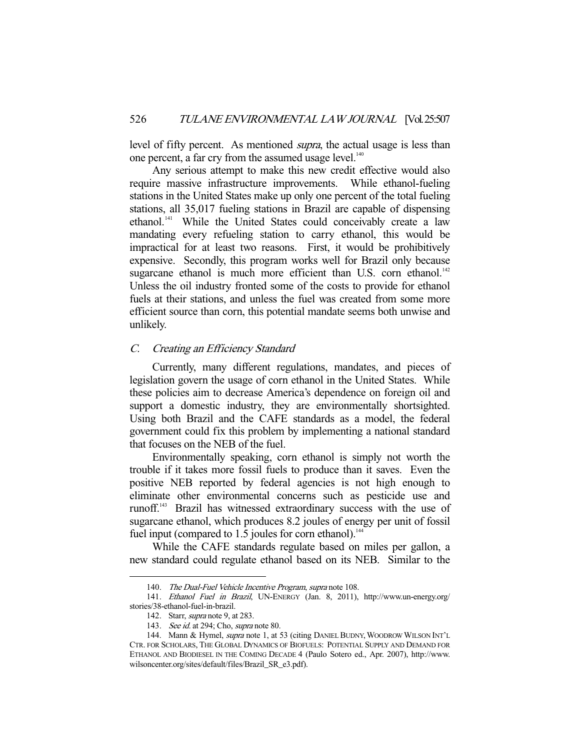level of fifty percent. As mentioned *supra*, the actual usage is less than one percent, a far cry from the assumed usage level.<sup>140</sup>

 Any serious attempt to make this new credit effective would also require massive infrastructure improvements. While ethanol-fueling stations in the United States make up only one percent of the total fueling stations, all 35,017 fueling stations in Brazil are capable of dispensing ethanol.<sup>141</sup> While the United States could conceivably create a law mandating every refueling station to carry ethanol, this would be impractical for at least two reasons. First, it would be prohibitively expensive. Secondly, this program works well for Brazil only because sugarcane ethanol is much more efficient than U.S. corn ethanol.<sup>142</sup> Unless the oil industry fronted some of the costs to provide for ethanol fuels at their stations, and unless the fuel was created from some more efficient source than corn, this potential mandate seems both unwise and unlikely.

### C. Creating an Efficiency Standard

 Currently, many different regulations, mandates, and pieces of legislation govern the usage of corn ethanol in the United States. While these policies aim to decrease America's dependence on foreign oil and support a domestic industry, they are environmentally shortsighted. Using both Brazil and the CAFE standards as a model, the federal government could fix this problem by implementing a national standard that focuses on the NEB of the fuel.

 Environmentally speaking, corn ethanol is simply not worth the trouble if it takes more fossil fuels to produce than it saves. Even the positive NEB reported by federal agencies is not high enough to eliminate other environmental concerns such as pesticide use and runoff.143 Brazil has witnessed extraordinary success with the use of sugarcane ethanol, which produces 8.2 joules of energy per unit of fossil fuel input (compared to  $1.5$  joules for corn ethanol).<sup>144</sup>

 While the CAFE standards regulate based on miles per gallon, a new standard could regulate ethanol based on its NEB. Similar to the

<sup>140.</sup> The Dual-Fuel Vehicle Incentive Program, supra note 108.

 <sup>141.</sup> Ethanol Fuel in Brazil, UN-ENERGY (Jan. 8, 2011), http://www.un-energy.org/ stories/38-ethanol-fuel-in-brazil.

 <sup>142.</sup> Starr, supra note 9, at 283.

<sup>143.</sup> See id. at 294; Cho, supra note 80.

<sup>144.</sup> Mann & Hymel, supra note 1, at 53 (citing DANIEL BUDNY, WOODROW WILSON INT'L CTR. FOR SCHOLARS, THE GLOBAL DYNAMICS OF BIOFUELS: POTENTIAL SUPPLY AND DEMAND FOR ETHANOL AND BIODIESEL IN THE COMING DECADE 4 (Paulo Sotero ed., Apr. 2007), http://www. wilsoncenter.org/sites/default/files/Brazil\_SR\_e3.pdf).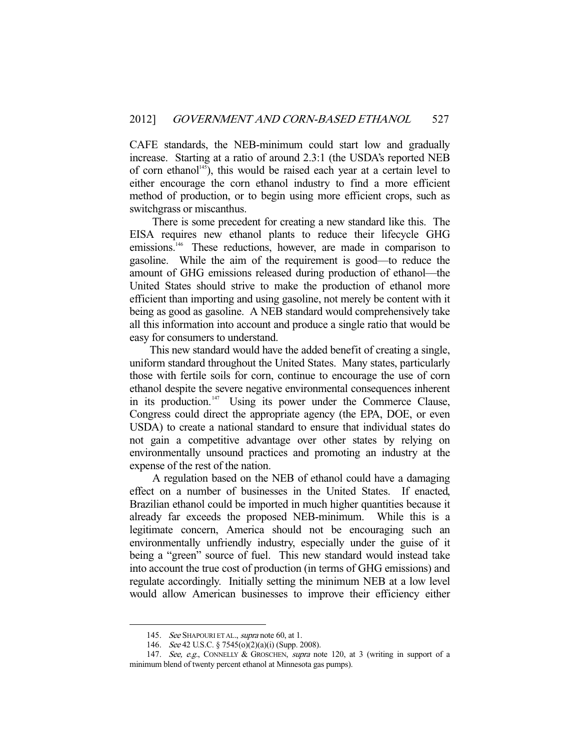CAFE standards, the NEB-minimum could start low and gradually increase. Starting at a ratio of around 2.3:1 (the USDA's reported NEB of corn ethanol<sup>145</sup>), this would be raised each year at a certain level to either encourage the corn ethanol industry to find a more efficient method of production, or to begin using more efficient crops, such as switchgrass or miscanthus.

 There is some precedent for creating a new standard like this. The EISA requires new ethanol plants to reduce their lifecycle GHG emissions.<sup>146</sup> These reductions, however, are made in comparison to gasoline. While the aim of the requirement is good—to reduce the amount of GHG emissions released during production of ethanol—the United States should strive to make the production of ethanol more efficient than importing and using gasoline, not merely be content with it being as good as gasoline. A NEB standard would comprehensively take all this information into account and produce a single ratio that would be easy for consumers to understand.

 This new standard would have the added benefit of creating a single, uniform standard throughout the United States. Many states, particularly those with fertile soils for corn, continue to encourage the use of corn ethanol despite the severe negative environmental consequences inherent in its production.<sup>147</sup> Using its power under the Commerce Clause, Congress could direct the appropriate agency (the EPA, DOE, or even USDA) to create a national standard to ensure that individual states do not gain a competitive advantage over other states by relying on environmentally unsound practices and promoting an industry at the expense of the rest of the nation.

 A regulation based on the NEB of ethanol could have a damaging effect on a number of businesses in the United States. If enacted, Brazilian ethanol could be imported in much higher quantities because it already far exceeds the proposed NEB-minimum. While this is a legitimate concern, America should not be encouraging such an environmentally unfriendly industry, especially under the guise of it being a "green" source of fuel. This new standard would instead take into account the true cost of production (in terms of GHG emissions) and regulate accordingly. Initially setting the minimum NEB at a low level would allow American businesses to improve their efficiency either

<sup>145.</sup> See SHAPOURI ET AL., supra note 60, at 1.

 <sup>146.</sup> See 42 U.S.C. § 7545(o)(2)(a)(i) (Supp. 2008).

<sup>147.</sup> See, e.g., CONNELLY & GROSCHEN, supra note 120, at 3 (writing in support of a minimum blend of twenty percent ethanol at Minnesota gas pumps).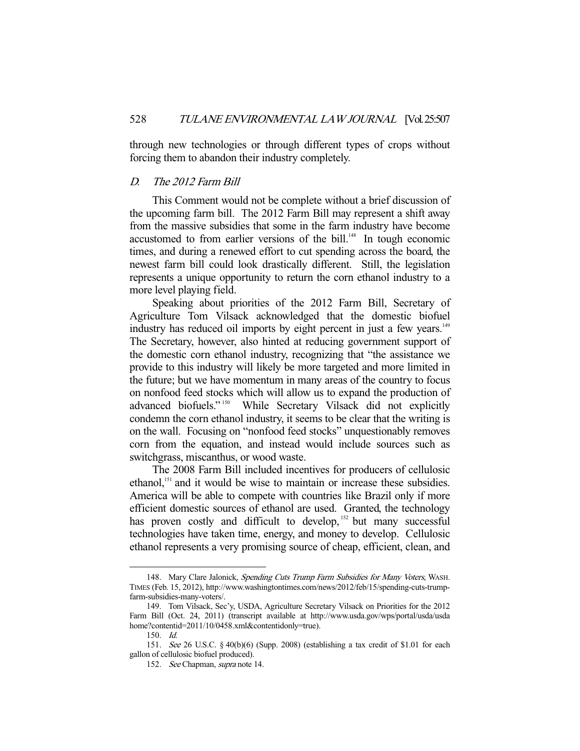through new technologies or through different types of crops without forcing them to abandon their industry completely.

## D. The 2012 Farm Bill

 This Comment would not be complete without a brief discussion of the upcoming farm bill. The 2012 Farm Bill may represent a shift away from the massive subsidies that some in the farm industry have become accustomed to from earlier versions of the bill.<sup>148</sup> In tough economic times, and during a renewed effort to cut spending across the board, the newest farm bill could look drastically different. Still, the legislation represents a unique opportunity to return the corn ethanol industry to a more level playing field.

 Speaking about priorities of the 2012 Farm Bill, Secretary of Agriculture Tom Vilsack acknowledged that the domestic biofuel industry has reduced oil imports by eight percent in just a few years.<sup>149</sup> The Secretary, however, also hinted at reducing government support of the domestic corn ethanol industry, recognizing that "the assistance we provide to this industry will likely be more targeted and more limited in the future; but we have momentum in many areas of the country to focus on nonfood feed stocks which will allow us to expand the production of advanced biofuels." 150 While Secretary Vilsack did not explicitly condemn the corn ethanol industry, it seems to be clear that the writing is on the wall. Focusing on "nonfood feed stocks" unquestionably removes corn from the equation, and instead would include sources such as switchgrass, miscanthus, or wood waste.

 The 2008 Farm Bill included incentives for producers of cellulosic ethanol,<sup>151</sup> and it would be wise to maintain or increase these subsidies. America will be able to compete with countries like Brazil only if more efficient domestic sources of ethanol are used. Granted, the technology has proven costly and difficult to develop, <sup>152</sup> but many successful technologies have taken time, energy, and money to develop. Cellulosic ethanol represents a very promising source of cheap, efficient, clean, and

<sup>148.</sup> Mary Clare Jalonick, Spending Cuts Trump Farm Subsidies for Many Voters, WASH. TIMES (Feb. 15, 2012), http://www.washingtontimes.com/news/2012/feb/15/spending-cuts-trumpfarm-subsidies-many-voters/.

 <sup>149.</sup> Tom Vilsack, Sec'y, USDA, Agriculture Secretary Vilsack on Priorities for the 2012 Farm Bill (Oct. 24, 2011) (transcript available at http://www.usda.gov/wps/portal/usda/usda home?contentid=2011/10/0458.xml&contentidonly=true).

 <sup>150.</sup> Id.

 <sup>151.</sup> See 26 U.S.C. § 40(b)(6) (Supp. 2008) (establishing a tax credit of \$1.01 for each gallon of cellulosic biofuel produced).

 <sup>152.</sup> See Chapman, supra note 14.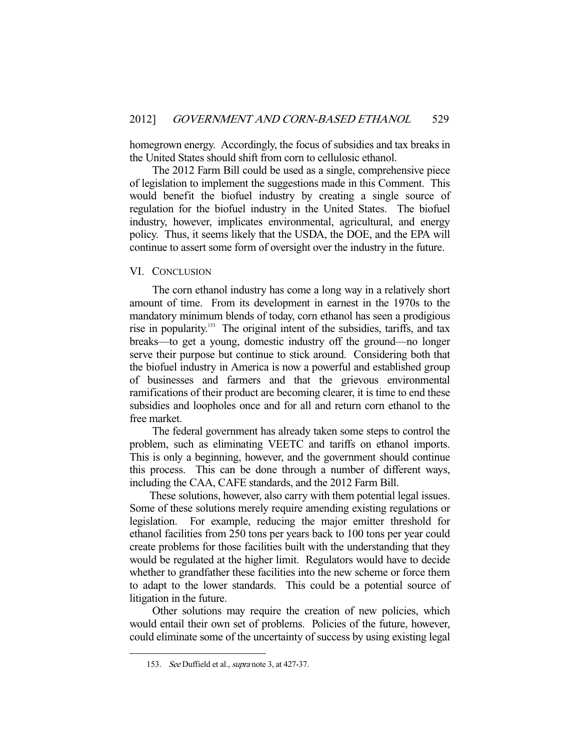homegrown energy. Accordingly, the focus of subsidies and tax breaks in the United States should shift from corn to cellulosic ethanol.

 The 2012 Farm Bill could be used as a single, comprehensive piece of legislation to implement the suggestions made in this Comment. This would benefit the biofuel industry by creating a single source of regulation for the biofuel industry in the United States. The biofuel industry, however, implicates environmental, agricultural, and energy policy. Thus, it seems likely that the USDA, the DOE, and the EPA will continue to assert some form of oversight over the industry in the future.

#### VI. CONCLUSION

 The corn ethanol industry has come a long way in a relatively short amount of time. From its development in earnest in the 1970s to the mandatory minimum blends of today, corn ethanol has seen a prodigious rise in popularity.153 The original intent of the subsidies, tariffs, and tax breaks—to get a young, domestic industry off the ground—no longer serve their purpose but continue to stick around. Considering both that the biofuel industry in America is now a powerful and established group of businesses and farmers and that the grievous environmental ramifications of their product are becoming clearer, it is time to end these subsidies and loopholes once and for all and return corn ethanol to the free market.

 The federal government has already taken some steps to control the problem, such as eliminating VEETC and tariffs on ethanol imports. This is only a beginning, however, and the government should continue this process. This can be done through a number of different ways, including the CAA, CAFE standards, and the 2012 Farm Bill.

 These solutions, however, also carry with them potential legal issues. Some of these solutions merely require amending existing regulations or legislation. For example, reducing the major emitter threshold for ethanol facilities from 250 tons per years back to 100 tons per year could create problems for those facilities built with the understanding that they would be regulated at the higher limit. Regulators would have to decide whether to grandfather these facilities into the new scheme or force them to adapt to the lower standards. This could be a potential source of litigation in the future.

 Other solutions may require the creation of new policies, which would entail their own set of problems. Policies of the future, however, could eliminate some of the uncertainty of success by using existing legal

<sup>153.</sup> See Duffield et al., supra note 3, at 427-37.